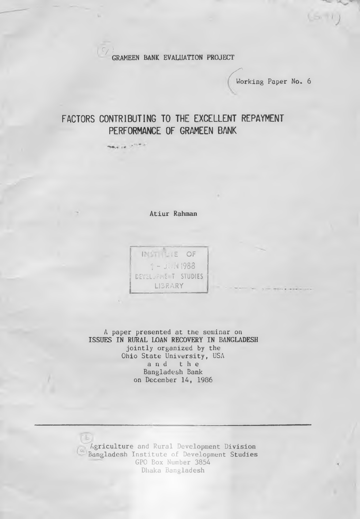**C/JGRAMEEN BANK EVALUATION PROJECT**

**/ f** Working Paper No. 6

 $(s, n)$ 

## **FACTORS CONTRIBUTING TO THE EXCELLENT REPAYMENT PERFORMANCE OF GRAMEEN BANK**

they are a company

**Atiur Rahman**

INST. UTE OF 1 - JUN 1988 DEVELOPME T STUDIES **LIBRARY**

A paper presented at the seminar on **ISSUES IN RURAL LOAN RECOVERY IN BANGLADESH** jointly organized by the Ohio State University, USA **and the** Bangladesh Bank on December 14, 1986

Agriculture and Rural Development Division Bangladesh Institute of Development Studies GPO Box Number 3854 Dhaka Bangladesh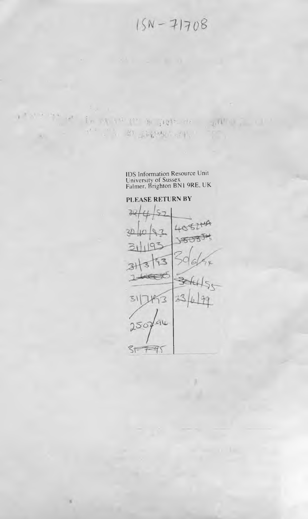$15N - 71708$ 

IDS Information Resource Unit University of Sussex Fainter. Brighton BN1 9RE, UK



PLEASE RETURN BY

The existence of the state of the state of

 $\mathbb{E} \left[ \mathcal{H} \right] \leq \mathbb{E} \left[ \mathbb{E} \left[ \mathcal{H} \right] \mathcal{H} \mathcal{H} \right] \leq \mathbb{E} \left[ \mathcal{H} \right] \, .$ 

1 1 \* 0 \* \* \*

 $\cdot$  at

 $x = 1$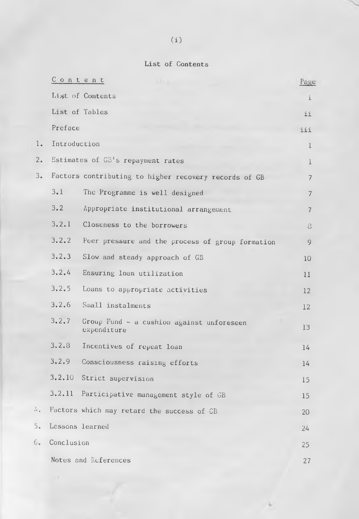## List of Contents

|               | $C$ ontent      |                                                          | Page        |
|---------------|-----------------|----------------------------------------------------------|-------------|
|               |                 | List of Contents                                         | i           |
|               | List of Tables  |                                                          | ii          |
|               | Preface         |                                                          | iii         |
| $l_{\bullet}$ | Introduction    |                                                          | $\mathbf 1$ |
| 2.            |                 | Estimates of GB's repayment rates                        | 1           |
| 3.            |                 | Factors contributing to higher recovery records of GB    | 7           |
|               | 3.1             | The Programme is well designed                           | 7           |
|               | 3.2             | Appropriate institutional arrangement                    | 7           |
|               | 3, 2, 1         | Closeness to the borrowers                               | 8           |
|               | 3.2.2           | Peer pressure and the process of group formation         | 9           |
|               | 3.2.3           | Slow and steady approach of GB                           | 10          |
|               | 3.2.4           | Ensuring loan utilization                                | 11          |
|               | 3, 2, 5         | Loans to appropriate activities                          | 12          |
|               | 3, 2, 6         | Small instalments                                        | 12          |
|               | 3.2.7           | Group Fund - a cushion against unforeseen<br>expenditure | 13          |
|               | 3.2.3           | Incentives of repeat loan                                | 14          |
|               | 3.2.9           | Consciousness raising efforts                            | 14          |
|               |                 | 3.2.10 Strict supervision                                | 15          |
|               | 3.2.11          | Participative management style of GB                     | 15          |
| 4.1           |                 | Factors which may retard the success of CB               | 20          |
| 5.            | Lessons learned |                                                          | 24          |
| 6.            | Conclusion      |                                                          | 25          |
|               |                 | Notes and References                                     | 27          |

×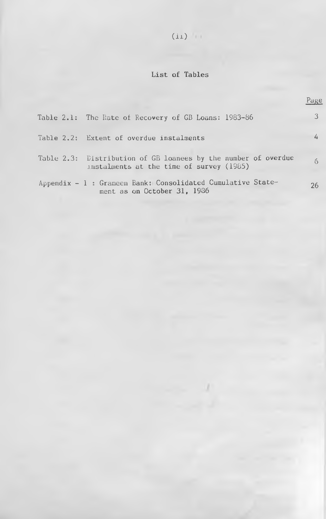# $(ii)$

## List of Tables

|                                                                                                            | Page        |
|------------------------------------------------------------------------------------------------------------|-------------|
| Table 2.1: The Rate of Recovery of GB Loans: 1983-86                                                       |             |
| Table 2.2: Extent of overdue instalments                                                                   |             |
| Table 2.3: Distribution of GB loanees by the number of overdue<br>instalments at the time of survey (1985) | $6^{\circ}$ |
| Appendix - 1 : Grameen Bank: Consolidated Cumulative State-<br>ment as on October 31, 1986                 | 26          |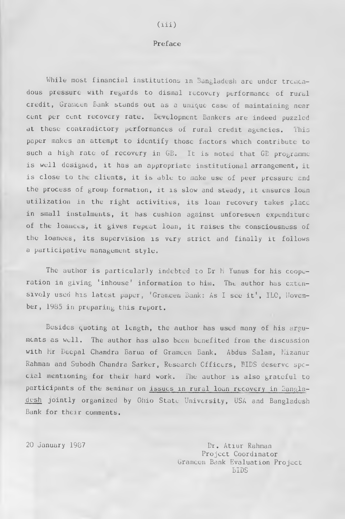## $(iii)$

## Preface

While most financial institutions in Bangladesh are under tremendous pressure with regards to dismal recovery performance of rural credit, Grameen Bank stands out as a unique case of maintaining near cent per cent recovery rate. Development Bankers are indeed puzzled at these contradictory performances of rural credit agencies. This paper makes an attempt to identify those factors which contribute to such a high rate of recovery in GB. It is noted that GE programme is well designed, it has an appropriate institutional arrangement, it is close to the clients, it is able to make use of peer pressure and the process of group formation, it is slow and steady, it ensures loan utilization in the right activities, its loan recovery takes place in small instalments, it has cushion against unforeseen expenditure of the loanees, it gives repeat loan, it raises the consciousness of the loanees, its supervision is very strict and finally it follows a participative management style.

The author is particularly indebted to Dr M Yunus for his cooperation in giving "inhouse' information to him. The author has extensively used his latest paper, 'Grameen Bank: As I see it', ILC, Hovember, 1985 in preparing this report.

Besides quoting at length, the author has used many of his arguments as well. The author has also been benefited from the discussion with Mir Deepal Chandra Barua of Grameen Bank. Abdus Salam, Mizanur Rahman and Subodh Chandra Sarker, Research Officers, BIDS deserve special mentioning for their hard work. The author is also grateful to participants of the seminar on issues in rural loan recovery in Bangladesh jointly organized by Ohio State University, USA and Bangladesh Bank for their comments.

20 January 1987 Dr. Atiur Rahman Project Coordinator Grameen Bank Evaluation Project BIDS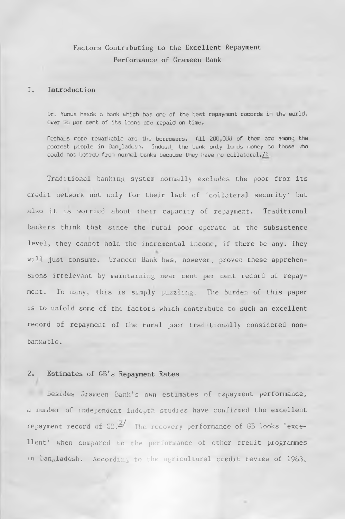## Factors Contributing to the Excellent Repayment Performance of Grameen Bank

## 1. Introduction

Dr. Yunus heads a bank which has one of the best repayment records in the world., Over 9b per cent of its loans are repaid on time.

Perhaps more remarkable are the borrowers. All 200,000 of them are among the poorest people in Bangladesh. Indeed, the bank only lends money to those who could not borrow from normal banks because they have no collateral./1

Traditional banking system normally excludes the poor from its credit network not only for their lack of 'collateral security' but also it is worried about their capacity of repayment. Traditional bankers think that since the rural poor operate at the subsistence level, they cannot hold the incremental income, if there be any. They will just consume. Grameen Bank has, however, proven these apprehensions irrelevant by maintaining near cent per cent record of repayment. To many, this is simply puzzling. The burden of this paper is to unfold some of the factors which contribute to such an excellent record of repayment of the rural poor traditionally considered nonbankable.

### 2. Estimates of GB's Repayment Rates

Besides Grameen Bank's own estimates of repayment performance, a number of independent indepth studies have confirmed the excellent repayment record of  $GE.$ <sup> $\frac{2}{\pi}$ </sup> The recovery performance of GB looks 'excellent' when compared to the performance of other credit programmes in Bangladesh. According to the agricultural credit review of 1983,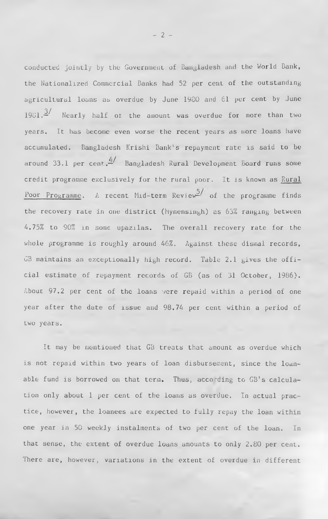conducted jointly by the Government of Bangladesh and the World Bank, the Nationalized Commercial Banks had 52 per cent of the outstanding agricultural loans as overdue by June 1980 and 61 per cent by June  $1981.\frac{3}{1}$  Nearly half ot the amount was overdue for more than two years. It has become even worse the recent years as more loans have accumulated. Bangladesh Krishi Bank's repayment rate is said to be around 33.1 per cent.  $\frac{d}{dx}$  Bangladesh Rural Development Board runs some credit programme exclusively for the rural poor. It is known as Rural Poor Programme. A recent Mid-term Review<sup>5</sup> of the programme finds the recovery rate in one district (Mymensingh) as 63% ranging between A. 75% to 90% in some upazilas. The overall recovery rate for the whole programme is roughly around 46%. Against these dismal records, GB maintains an exceptionally high record. Table 2.1 gives the official estimate of repayment records of GB (as of 31 October, 1986). About 97.2 per cent of the loans were repaid within a period of one year after the date of issue and 98.74 per cent within a period of two years.

It may be mentioned that GB treats that amount as overdue which is not repaid within two years of loan disbursement, since the loanable fund is borrowed on that term. Thus, according to GB's calculation only about 1 per cent of the loans as overdue. In actual practice, however, the loanees are expected to fully repay the loan within one year in 50 weekly instalments of two per cent of the loan. In that sense, the extent of overdue loans amounts to only 2.80 per cent. There are, however, variations in the extent of overdue in different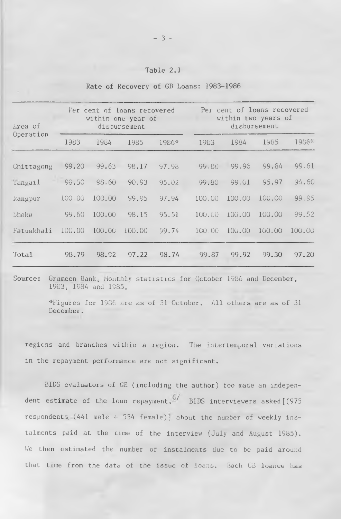| Table 2.1 |  |  |  |
|-----------|--|--|--|
|           |  |  |  |

| Area of    | Fer cent of loans recovered<br>within one year of<br>disbursement |        |        |       | Per cent of loans recovered<br>within two years of<br>disbursement |        |        |        |
|------------|-------------------------------------------------------------------|--------|--------|-------|--------------------------------------------------------------------|--------|--------|--------|
| Operation  | 1983                                                              | 1984   | 1985   | 1986* | 1983                                                               | 1984   | 1985   | 1986*  |
| Chittagong | 99.20                                                             | 99.63  | 98.17  | 97.98 | 99.88                                                              | 99.96  | 99.84  | 99.61  |
| langail    | 98.50                                                             | 98.60  | 90.93  | 95.02 | 99.80                                                              | 99.01  | 95.97  | 94.60  |
| Rangpur    | 100,00                                                            | 100.00 | 99.95  | 97.94 | 100,00                                                             | 100,00 | 100.00 | 99.95  |
| Ehaka      | 99.60                                                             | 100.00 | 98.15  | 95,51 | 100.00                                                             | 100.00 | 100.00 | 99.52  |
| Fatuakhali | 100.00                                                            | 100.00 | 100.00 | 99.74 | 100,00                                                             | 100,00 | 100.00 | 100.00 |
| Total      | 98.79                                                             | 98.92  | 97.22  | 98.74 | 99.87                                                              | 99.92  | 99.30  | 97.20  |

Rate of Recovery of GB Loans: 1983-1986

Source: Grameen Bank, Monthly statistics for October 1986 and December, 1983, 1984 and 1985,

> ^Figures for 1986 are as of 31 October. All others are as of 31 December.

regions and branches within a region. The intertemporal variations in the repayment performance are not significant.

BIDS evaluators of GE (including the author) too made an independent estimate of the loan repayment. BIDS interviewers asked<sup>[(975]</sup> respondents (441 male  $+$  534 female); about the number of weekly instalments paid at the time of the interview (July and August 1985). We then estimated the number of instalments due to be paid around that time from the data of the issue of loans. Each GB loanee has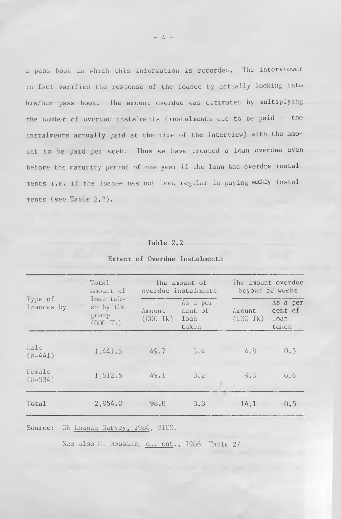a pass book in which this information is recorded. The interviewer in fact varified the response of the loanee by actually looking into his/her pass book. The amount overdue was estimated by multiplying the number of overdue instalments (instalments due to oe paid — the instalments actually paid at the time of the interview) with the amount to be paid per week. Thus we have treated a loan overdue even before the maturity period of one year if the loan had overdue mstalments i.e. if the loanee has not been regular in paying weekly instalments (see Table 2.2).

## Table 2.2

|                       | Total<br>amount of                           |                                    | The amount of<br>overdue instalments |                       | The amount overdue<br>beyond 52 weeks |  |  |
|-----------------------|----------------------------------------------|------------------------------------|--------------------------------------|-----------------------|---------------------------------------|--|--|
| Type of<br>loances by | loan tak-<br>en by the<br>group<br>$(000$ Tk | Amount.<br>$(000 \text{ Tk})$ loan | As a per<br>cent of<br>taken         | Amount<br>$(000)$ Tk) | As a per<br>cent of<br>loan<br>taken  |  |  |
| Hale<br>$(N=441)$     | 1,441.5                                      | 49.7                               | 5.4                                  | 4.8                   | 0.3                                   |  |  |
| Female<br>$(1-534)$   | 1,512.5                                      | 49.1                               | 3.2                                  | 9.3                   | 0.6                                   |  |  |
| Total                 | 2,954.0                                      | 98.8                               | 3.3                                  | 14.1                  | 0.5                                   |  |  |

## Extent of Overdue Instalments

Source: G5 Loanee Survey, 1986, BIDS.

See also M. Hossain, op. cot., 1986, Table 27.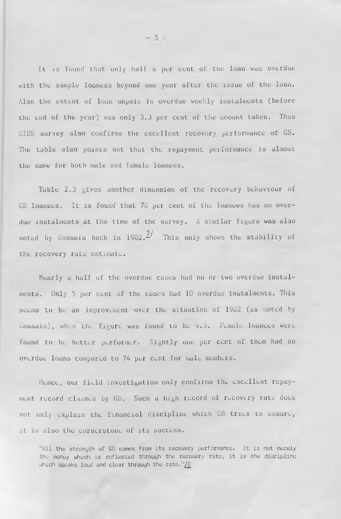It is found that only half a per cent of the loan was overdue with the sample loanees beyond one year after the issue of the loan. Also the extent of loan unpaiu in overdue weekly instalments (before the end of the year) was only 3.3 per cent of the amount taken. Thus BIDS survey also confirms the excellent recovery performance of GB. The table also points out that the repayment performance is almost the same for both male and female loanees.

Table 2.3 gives another dimension of the recovery behaviour of GB loanees. It is found that 78 per cent of the loanees has no overdue instalments at the time of the survey. A similar figure was also noted by Hossain back in  $1982$ .<sup> $1/2$ </sup> This only shows the stability of the recovery rate estimate.

Nearly a half of the overdue cases had no or two overdue instalments. Only 5 per cent of the cases had 10 overdue instalments. This seems to be an improvement over the situation of 1982 (as noted by  $E$ ossain), when the figure was found to be 9.3. Female loances were found to be better performer. Rightly one per cent of them had no overdue loans compared to 74 per cunt for male members.

Hence, our field investigation only confirms the excellent repayment record claimed by GB. Such a high record of recovery rate docs not only explain the financial discipline which GB tries to ensure, it is also the cornerstone of its success.

"All the strength of GG comes from its recovery performance. It is not merely the money which is reflected through the recovery rate, it is the discipline which speaks loud and clear through the rate.<sup>11</sup>/ $E$ 

 $-5 -$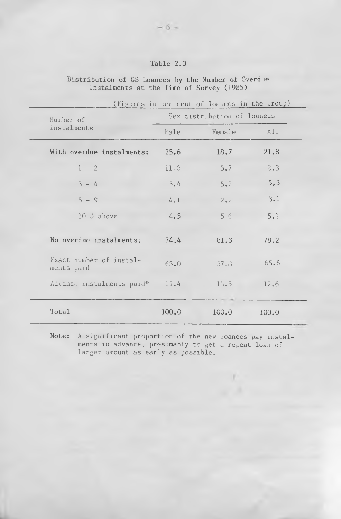## Table 2,3

Distribution of GB Loanees by the Number of Overdue Instalments at the Time of Survey (1985)

| Number of                             |       | Sex distribution of loanees |       |
|---------------------------------------|-------|-----------------------------|-------|
| instalments                           | Male  | Female                      | A11   |
| With overdue instalments:             | 25.6  | 18.7                        | 21.8  |
| $1 - 2$                               | 11.6  | 5.7                         | 8.3   |
| $3 - 4$                               | 5.4   | 5.2                         | 5, 3  |
| $5 - 9$                               | 4.1   | 2.2                         | 3.1   |
| 10 & above                            | 4.5   | $5 \in$                     | 5.1   |
| No overdue instalments:               | 74.4  | 81.3                        | 78.2  |
| Exact number of instal-<br>ments paid | 63.0  | 67.8                        | 65.5  |
| Advance instalments paid*             | 11.4  | 13.5                        | 12.6  |
| Total                                 | 100.0 | 100.0                       | 100.0 |

Note: A significant proportion of the new loanees pay instalments in advance, presumably to get a repeat loan of larger amount as early as possible.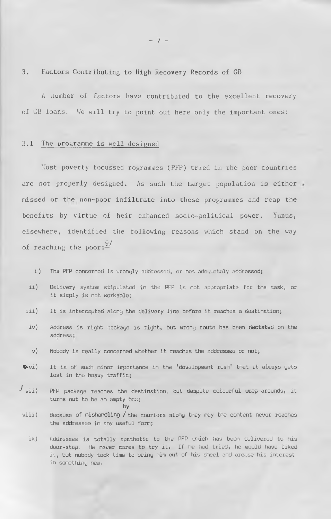3. Factors Contributing to High Recovery Records of GB

A number of factors have contributed to the excellent recovery of GB loans. We will try to point out here only the important ones:

#### 3.1 The programme is well designed

Most poverty focussed rogrammes (PFP) tried in the poor countries are not properly designed. As such the target population is either missed or the non-poor infiltrate into these programmes and reap the benefits by virtue of heir enhanced socio-political power. Yunus, elsewhere, identified the following reasons which stand on the way of reaching the poor: $\frac{\mathcal{G}}{2}$ 

- i) The PFP concerned is wrongly addressed, or not adeguatuly addresseds
- ii) Delivery system stipulated in the PFP is not appropriate for the task, or it simply is net workable;
- iii) It is intercepted along the delivery line before it reaches a destinations
- iv) Address is right package is right, but wrong route has been dectated on the address<sub>s</sub>
- v) Nobody is really concerned whether it reaches the addressee or not;
- •>vi) It is of such minor importance in the 'development rush' that it always gets lost in the heavy traffic;
- *J* vii) PFP package reaches the destination, but despite colourful warp-arounds, it turns out to be an empty box; by
	- viii) Because of mishandling / the couriors along they may the content never reaches the addressee in any useful forms

ix) Addressee is totally apathetic to the PFP which has been delivered to his door-stepc He never cares to try it. If he had tried, he would have liked it, but nobody took time to bring him out of his sheel and arouse his interest in something new.

 $- 7 -$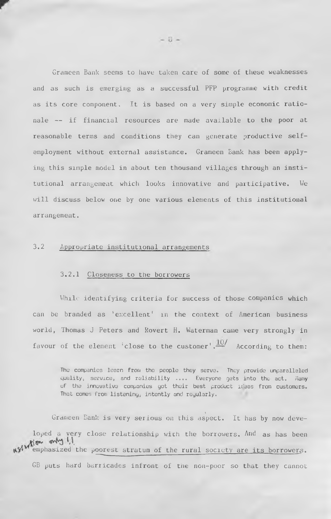Grameen Bank seems to have taken care of some of these weaknesses and as such is emerging as a successful PFP programme with credit as its core component. It is based on a very simple economic rationale — if financial resources are made available to the poor at reasonable terms and conditions they can generate productive selfemployment without external assistance. Grameen Bank has been applying this simple model in about ten thousand villages through an institutional arrangement which looks innovative and participative. We will discuss below one by one various elements of this institutional arrangement.

## 3.2 Appropriate institutional arrangements

### 3.2.1 Closeness to the borrowers

While identifying criteria for success of those companies which can be branded as 'excellent' in the context of American business world, Thomas J Peters and Rovert H. Waterman came very strongly in favour of the element 'close to the customer',  $\frac{10}{10}$  According to them:

The companies learn from the people they serve. They provide unparalleled quality, service, and reliability .... Everyone gets into the act. Many of the innovative companies got their best product ideas from customers. That comes from listening, intently and regularly.

J

Grameen Bank is very serious on this aspect. It has by now developed a very close relationship with the borrowers. And as has been<br>when  $\mathbf{w}$  and  $\mathbf{w}$  and  $\mathbf{w}$ emphasized the poorest stratum of the rural society are its borrowers.

GB puts hard barricades infront of the non-poor so that they cannot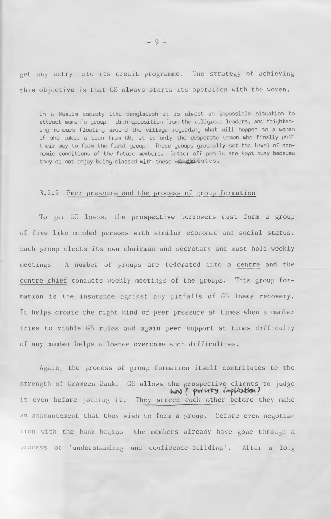get any entry into its credit programme. One strategy of achieving this objective is that GB always starts its operation with the women.

In a Muslim society like Bangladesh it is almost an impossible situation to attract women's group. With opposition from the religious leaders, and frightening rumours floating around the villaye regarding what will heppen to a woman if she takes a loan from GB, it is only the desperate women who finally push their way to form the first group. These groups gradually set the level of economic conditions of the future members. Better off people are kept away because they do not enjoy being classed with these utaghitutes.

#### 3.2.2 Peer pressure and the process of group formation

To get GB loans, the prospective borrowers must form a group of five like minded persons with similar economic and social status. Each group elects its own chairman and secretary and must hold weekly meetings. A number of groups are federated into a centre and the centre chief conducts weekly meetings of the groups. This group formation is the insurance against any pitfalls of GB loans recovery. It helps create the right kind of peer pressure at times when a member tries to viable GB rules and again peer support at times difficulty of any member helps a loanee overcome such difficulties.

Again, the process of group formation itself contributes to the strength of Grameen Bank. GB allows the prospective clients to judge<br>
way? putty implicition? it even before joining it. They screen each other before they make an announcement that they wish to form a group. Before even negotiation with the bank bagins the members already have gone through a process of 'understanding and confidence-building'. After a long

 $-9-$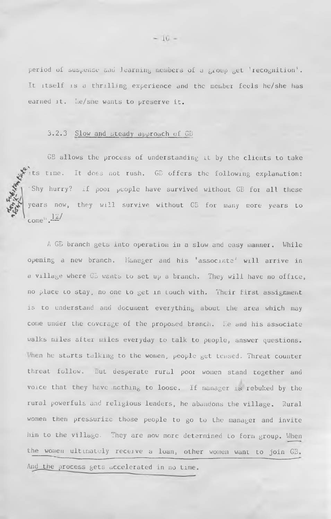period of suspense and learning members of a group get 'recognition'. It itself is a thrilling experience and the member feels he/she has earned it. Me/sne wants to preserve it.

## 3.2.3 Slow and steady approach of GD

GB allows the process of understanding it by the clients to take Its time. It does not rush. GB offers the following explanation: 'Shy hurry? If poor people have survived without GB for all these years now, they will survive without GB for many more years to come<sup> $\frac{12}{\sqrt{2}}$ </sup>

A GB branch gets into operation in a slow and easy manner. While opening a new branch, Manager and his 'associate' will arrive in a village where GB wants to set up a branch. They will have no office, no place lo stay, no one to get in touch with. Their first assignment is to understand and document everything about the area which may come under the coverage of the proposed branch. He and his associate walks miles after miles everyday to talk to people, answer questions. 'hen he starts talking to the women, people get tensed. Threat counter threat follow. but desperate rural poor women stand together and voice that they have .nothing to loose. If manager is rebuked by the rural powerfuls and religious leaders, he abandons the village. Rural women then pressurize those people to go to the manager and invite him to the village. They are now more determined to form group. When the women ultimately receive a loan, other women want to join G3. And the process gets accelerated in no time.

 $-10-$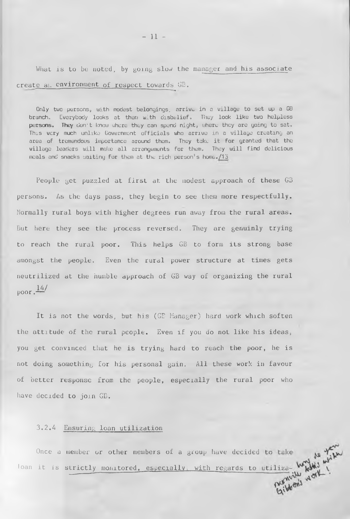What is to be noted, by going slow the manager and his associate create ai. environment of respect towards GB.

Only two persons, with modest belongings, arrive in a village to set up a GB branch. Everybody looks at them with disbelief, They look like two helpless persons. They don't know where they can spend night, where they are going to sat. This very much unlike Government officials who arrive in a village creating an area of tremendous importance around them. They take it for granted that the village leaders will make all arrangements for them. They will find delicious meals and snacks waiting for them at the rich person's home. /15

People get puzzled at first at the modest approach of these GB persons. As the days pass, they begin to see them more respectfully. Normally rural boys with higher degrees run away from the rural areas. But here they see the process reversed. They are genuinly trying to reach the rural poor. This helps GB to form its strong base amongst the people. Even the rural power structure at times gets neutrilized at the humble approach of GB way of organizing the rural  $\frac{14}{3}$ 

It is not the words, but his (GB Manager) hard work which soften the attitude of the rural people. Even if you do not like his ideas, you get convinced that he is trying hard to reach the poor, he is not doing something for his personal gain. All these work in favour of better response from the people, especially the rural poor who have decided to join GB.

## 3.2.4 Ensuring loan utilization

Once a member or other members of a group have decided loan it is strictly monitored, especially, with regards to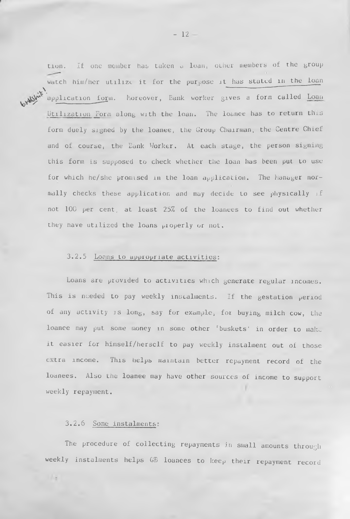tion. If one member has taken a loan, other members of the group watch him/her utilize it for the purpose it has stated in the loan , which is a set of  $\mathcal{L}$   $\mathcal{L}$   $\mathcal{L}$   $\mathcal{L}$   $\mathcal{L}$   $\mathcal{L}$   $\mathcal{L}$   $\mathcal{L}$   $\mathcal{L}$   $\mathcal{L}$   $\mathcal{L}$   $\mathcal{L}$   $\mathcal{L}$   $\mathcal{L}$   $\mathcal{L}$   $\mathcal{L}$   $\mathcal{L}$   $\mathcal{L}$   $\mathcal{L}$   $\mathcal{L}$   $\mathcal{L}$   $\mathcal{L}$   $\math$ application fo<u>r</u>m. Moreover, Bank worker gives a form called <u>Loan</u>  $\rho_{\rm A}$ Utilization Form along with the loan. The loanee has to return this form duely signed by the loanee, the Group Chairman, the Centre Chief and of course, the Bank Worker. At each stage, the person signing this form is supposed to check whether the loan has been put to use for which he/she promised in the loan application. The Manager normally checks these application and may decide to see physically if not 100 per cent, at least 25% of the loanees to find out whether they have utilized the loans pioperly or not.

## 3.2.5 Loans to appropriate activities:

Loans are provided to activities which generate regular incomes. This is needed to pay weekly instalments. If the gestation  $period$ of any activity is long, say for example, for buying milch cow, the loanee may put some money in some other 'buskets' in order to mak. it easier for himself/herself to pay weekly instalment out of those extra income. This helps maintain better repayment record of the loanees. Also the loanee may have other sources of income to support weekly repayment.

## 3.2.6 Some instalments:

The procedure of collecting repayments in small amounts through weekly instalments helps GB loanees to keep their repayment record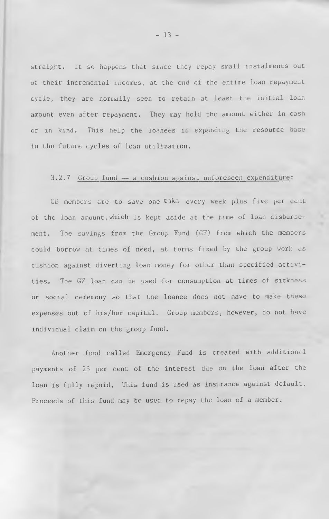straight. It so happens that since they repay small instalments out of their incremental incomes, at the end of the entire loan repayment cycle, they are normally seen to retain at least the initial loan amount even after repayment. They may hold the amount either in cash or in kind. This help the loanees in expanding the resource base in the future cycles of loan utilization.

## $3.2.7$  Group fund  $-$  a cushion against unforeseen expenditure:

GB members are to save one taka every week plus five per cent of the loan amount, which is kept aside at the time of loan disbursement. The savings from the Group Fund (GF) from which the members could borrow at times of need, at terms fixed by the group work as cushion against diverting loan money for other than specified activities. The GF loan can be used for consumption at times of sickness or social ceremony so that the loanee does not have to make these expenses out of his/her capital. Group members, however, do not have individual claim on the group fund.

Another fund called Emergency Fund is created with additional payments of 25 per cent of the interest due on the loan after the loan is fully repaid. This fund is used as insurance against default. Proceeds of this fund may be used to repay the loan of a member.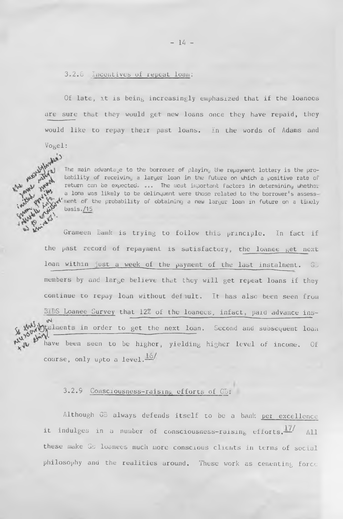### 3.2.G Incentives of repeat loan;

Of late, it is being increasingly emphasized that if the loanees are sure that they would get new loans once they have repaid, they would like to repay their past loans. In the words of Adams and Vogel:

The main advantage to the borrower of playing the repayment lottery is the probability of receiving a larger loan in the future on which a positive rate of return can be expected, ... The most important factors in determining whether a Iona was likely to be delinquent were those related to the borrower's assess  $\prime$  ment of the probability of obtaining a new larger loan in future on a timely  $basis. /15$ 

Grameen Bank is trying to follow this principle. In fact if the past record of repayment is satisfactory, the loanee get next loan within just a week of the payment of the last instalment. GD members by and large believe that they will get repeat loans if they continue to repay loan without defiult. It has also been seen from BlDS Loanee Gurvey that 12% of the loanees, infact, paid advance ins talments in order to get the next loan. Second and subsequent loan **juin** 1 have been seen to be higher, yielding higher level of income. Of course, only upto a level. $\overline{16}$ 

## 3.2.9 Consciousness-raising efforts of GB;

Although GB always defends itself to be a bank per excellence it indulges in a number of consciousness-raising efforts.  $\frac{17}{11}$  All these make *Gb* loanees much more conscious clients in terms of social philosophy and the realities around. These work as cementing force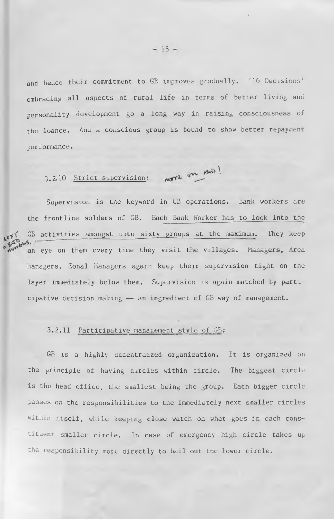and hence their commitment to GE improves gradually. '16 Decisions' embracing all aspects of rural life in terms of better living and personality development go a long way in raising consciousness of the loanee. And a conscious group is bound to show better repayment performance.

3.2.10 <u>Strict supervision:</u> more on MAS!

Supervision is the keyword in GB operations. Bank workers are the frontline solders of GB. Each Bank Worker has to look into the GB activities amongst upto sixty groups at the maximum. They keep an eye on them every time they visit the villages. Managers, Area Managers, Zonal Managers again keep their supervision tight on the layer immediately below them. Supervision is again matched by participative decision making — an ingredient cf GB way of management.

### 3.2.11 Participative management style of GB;

GB is a highly decentraized organization. It is organized on the principle of having circles within circle. The biggest circle is the head office, the smallest being the group. Each bigger circle passes on the responsibilities to the immediately next smaller circles within itself, while keeping close watch on what goes in each constituent smaller circle. In case of emergency high circle takes up the responsibility more directly to bail out the lower circle.

/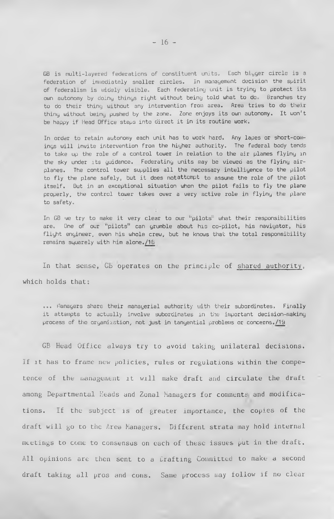GB is multi-layered federations of constituent units. Each bigger circle is a federation of immediately smaller circles. In management decision the spirit of federalism is widely visible. Each federating unit is trying to protect its own autonomy by doing things right without being told what to do. Branches try to do their thing without any intervention from area. Area tries to do their thing without being pushed by the zone. Zone enjoys its own autonomy. It won't be happy if Head Office steps into direct it in its routine work.

In order to retain autonomy each unit has to work hard. Any lapes or short-comings will invite intervention from the higher authority. The federal body tends to take up the role of a control tower in relation to the air planes flying in the sky under its guidance. Federating units may be viewed as the flying airplanes. The control tower supplies all the necessary intelligence to the pilot to fly the plane safely, but it does notattompt to assume the role of the pilot itself. But in an exceptional situation when the pilot fails to fly the plane properly, the control tower takes over a very active role in flying the plane to safety.

In GB we try to make it very clear to our "pilots" what their responsibilities are. One of our "pilots" can grumble about his co-pilot, his navigator, his flight engineer, even his whole crew, but he knows that the total responsibility remains squarely with him alone./18

In that sense, Gb operates on the principle of shared authority, which holds that:

... Managers share their managerial authority with their subordinates. Finally it attempts to actually involve subordinates in the important decision-making process of the organization, not just in tangential problems or concerns. 19

GB Head Office always try to avoid taking unilateral decisions. If it has to frame new policies, rules or regulations within the competence of the management it will make draft and circulate the draft among Departmental Heads and Zonal Managers for comments and modifications. If the subject is of greater importance, the copies of the draft will go to the Area Managers. Different strata may hold internal meetings to come to consensus on each of these issues put in the draft. All opinions are then sent to a Drafting Committed to make a second draft taking all pros and cons. Same process may follow if no clear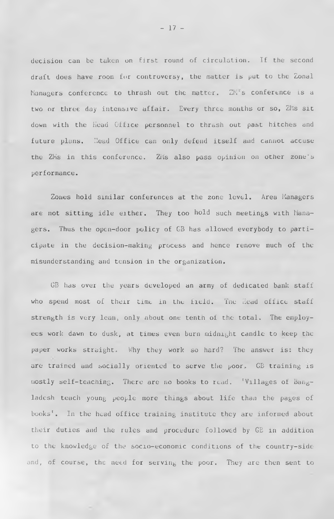decision can be taken on first round of circulation. If the second draft does have room for controversy, the matter is put to the Zonal Managers conference to thrash out the matter. ZM's conference is a two or three day intensive affair. Every three months or so, ZMs sit down with the Head Office personnel to thrash out past hitches and future plans. Head Office can only defend itself and cannot accuse the ZMs in this conference. ZMs also pass opinion on other zone's performance.

Zones hold similar conferences at the zone level. Area Managers are not sitting idle either. They too hold such meetings with Managers. Thus the open-door policy of GB has allowed everybody to participate in the decision-making process and hence remove much of the misunderstanding and tension in the organization.

GB has over the years developed an army of dedicated bank staff who spend most of their time in the field. The Read office staff strength is very lean, only about one tenth of the total. The employees work dawn to dusk, at times even burn midnight candle to keep the paper works straight. Why they work so hard? The answer is: they are trained and socially oriented to serve the poor. GB training is mostly self-teaching. There are no books to read. 'Villages of Bangladesh teach young people more things about life than the pages of books'. In the head office training institute they are informed about their duties and the rules and procedure followed by GE in addition to the knowledge of the socio-economic conditions of the country-side and, of course, the need for serving the poor. They are then sent to

 $-17 -$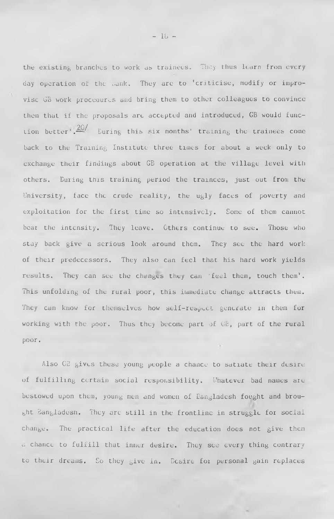the existing branches to work as trainees. They thus learn from every day operation of the tank. They are to 'criticise, modify or improvise GB work procedures and bring them to other colleagues to convince them that if the proposals are accepted and introduced, GB would func- $20/$ Lion better'.— During this six months' training the trainees come back to the Training Institute three times for about a week only to exchange their findings about GB operation at the village level with others. During this training period the trainees, just out from the University, face the crude reality, the ugly faces of poverty and exploitation for the first time so intensively. Some of them cannot bear the intensity. They leave. Others continue to see. Those who stay back give a serious look around them. They see the hard work of their predecessors. They also can feel that his hard work yields results. They can see the changes they can 'feel them, touch them'. This unfolding of the rural poor, this immediate change attracts them. They can know for themselves how self-respect generate in them for working with the poor. Thus they become part of GB, part of the rural poor.

Also GB gives these young people a chance to satiate their desire of fulfilling certain social responsibility. Whatever bad names are bestowed upon them, young men and women of Bangladesh fought and brought Bangladesh. They are still in the frontline in struggle for social change. The practical life after the education does not give them a chance to fulfill that inner desire. They see every thing contrary to their dreams. So they give in. Desire for personal gain replaces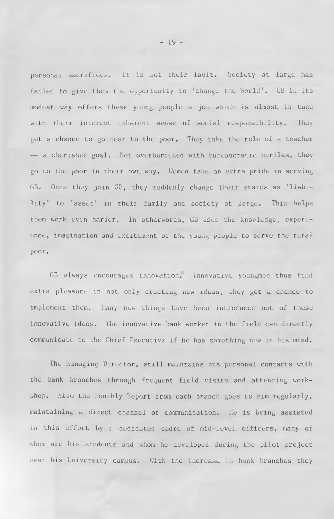personal sacrifices. It is not their fault. Society at large has failed to give them the opportunity to 'change the World'. GB in its modest way offers these young people a job which is almost in tune with their interest inherent sense of social responsibility. They get a chance to go near to the poor. They take the role of a teacher — a cherished goal. Not overburdened with bureaucratic hurdles, they go to the poor in their own way. Women take an extra pride in serving GB. Once they join GB, they suddenly change their status as 'liability' to 'asset' in their family and society at large. This helps them work even harder. In otherwords, GB uses the knowledge, experience, imagination and excitement of the young people to serve the rural poor.

GB always encourages innovation. Innovative youngmen thus find extra pleasure in not only creating new ideas, they get a chance to implement them. Many new things have been introduced out of these innovative ideas. The innovative bank worker in the field can directly communicate to the Chief Executive if he has something new in his mind.

The Managing Director, still maintains his personal contacts with the bank branches through frequent field visits and attending workshop. Also the Monthly Report from each branch goes to him regularly, maintaining a direct channel of communication. He is being assisted in this effort by a dedicated cadre of mid-level officers, many of whom are his students and whom he developed during the pilot project near his University campus. With the increase in bank branches they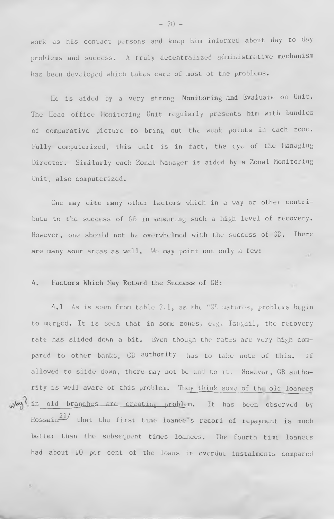work as his contact persons and keep him informed about day to day problems and success. A truly decentralized administrative mechanism has been developed which takes care of most of the problems.

He is aided by a very strong Monitoring and Evaluate on Unit. The Head office Honitoring Unit regularly presents him with bundles of comparative picture to bring out the weak points in each zone. Fully computerized, this unit is in fact, the eye of the Managing Director. Similarly each Zonal Manager is aided by a Zonal Monitoring Unit, also computerized.

One may cite many other factors which in a way or other contribute to the success of GB in ensuring such a high level of recovery. However, one should not be overwhelmed with the success of GE. There are many sour areas as well. We may point out only a few:  $\lambda$ 

## 4. Factors Which May Retard the Success of GB:

s.

4.1 As is seen from table 2,1, as the "GL matures, problems begin to merged. It is seen that in some zones, e.g. Tangail, the recovery rate has slided down a bit. Even though the rates are very high compared to other banks, GB authority has to take note of this. If allowed to slide down, there may not be end to it. However, GB authority is well aware of this problem. They think some of tht old loanees  $\omega$ <sup>W</sup>, in old branches are creating problem. It has been observed by Hossain $\frac{21}{ }$  that the first time loance's record of repayment is much better than the subsequent times loanees. The fourth time loanees had about 10 per cent of the loans in overdue instalments compared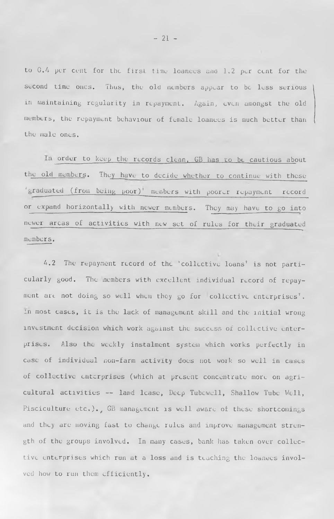to 0.4 per cent for the first time loanees and 1.2 per cent for the second time ones. Thus, the old members appear to be less serious in maintaining regularity in repayment. Again, even amongst the old members, the repayment behaviour of female loanees is much better than the male ones.

In order to keep the records clean. GB has to be cautious about the old members. They have to decide whether to continue with these 'graduated (from being poor)' members with poorer repayment record or expand horizontally with newer members. They may have to go into newer areas of activities with new set of rules for their graduated members.

4.2 The repayment record of the 'collective loans' is not particularly good. The members with excellent individual record of repayment are not doing so well when they go for collective enterprises'. In most cases, it is the lack of management skill and the initial wrong investment decision which work against the success of collective enterprises. Also the weekly instalment system which works perfectly in case of individual non-farm activity does not work so well in cases of collective enterprises (which at present concentrate more on agricultural activities — land lease, Deep Tubcwcll, Shallow Tube Well, Pisciculture etc.)., GB management is well aware of these shortcomings and they are moving fast to change rules and improve management strength of the groups involved. In many cases, bank has taken over collective enterprises which run at a loss and is teaching the loanees involved how to run them efficiently.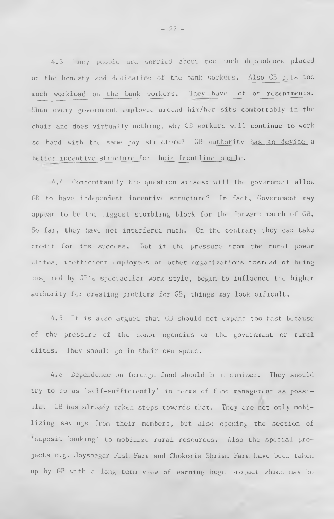4.3 hany people arc worried about too much dependence placed on the honesty and dedication of the bank workers. Also GB puts too much workload on the bank workers. They have lot of resentments. When every government employee around him/her sits comfortably in the chair and does virtually nothing, why GB workers will continue to work so hard with the same pay structure? GB authority has to device a better incentive structure for their frontline people.

4.4 Concomitantly the question arises: will the government allow GB to have independent incentive structure? In fact, Government may appear to be the biggest stumbling block for the forward march of GB. So far, they have not interfered much. On the contrary they can take credit for its success. But if the pressure from the rural power elites, inefficient employees of other organizations instead of being inspired by  $\mathbb{G}^{\mathbb{S}}$ 's spectacular work style, begin to influence the higher authority for creating problems for GB, things may look dificult.

4.5 It is also argued that GB should not expand too fast because of the pressure of the donor agencies or the government or rural elites. They should go in their own speed.

4.6 Dependence on foreign fund should be minimized. They should try to do as 'self-sufficiently' in terms of fund management as possible. GB has already taken steps towards that. They are not only mobilizing savings from their members, but also opening the section of 'deposit banking' to mobilize rural resources. Also the special projects e.g. Joyshagar Fish Farm and Chokoria Shrimp Farm have been taken up by GB with a long terra view of earning huge project which may be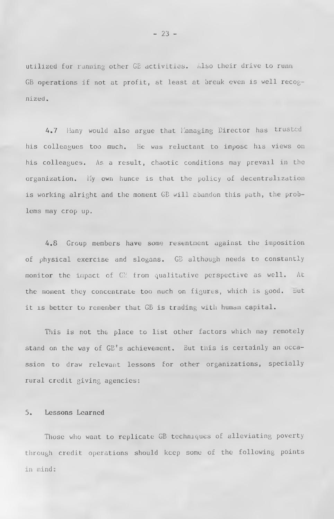utilized for running other GB activities. Also their drive to runn GB operations if not at profit, at least at break even is well  $recog$ nized.

4.7 Many would also argue that Managing Director has trusted his colleagues too much. He was reluctant to impose his views on his colleagues. As a result, chaotic conditions may prevail in the organization. My own hunce is that the policy of decentralization is working alright and the moment GB will abandon this path, the problems may crop up.

4.8 Group members have some resentment against the imposition of physical exercise and slogans. GB although needs to constantly monitor the impact of  $C\mathbb{S}$  from qualitative perspective as well. At the moment they concentrate too much on figures, which is good. But it is better to remember that GB is trading with human capital.

This is not the place to list other factors which may remotely stand on the way of GB's achievement. But this is certainly an occassion to draw relevant lessons for other organizations, specially rural credit giving agencies:

### 5. Lessons Learned

Those who want to replicate GB techniques of alleviating poverty through credit operations should keep some of the following points in mind: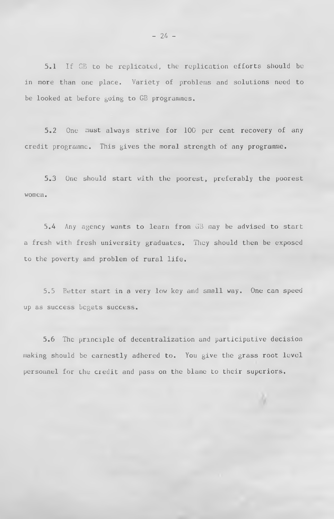5.1 If GB to be replicated, the replication efforts should be in more than one place. Variety of problems and solutions need to be looked at before going to GB programmes.

5.2 One must always strive for 100 per cent recovery of any credit programme. This gives the moral strength of any programme.

5.3 One should start with the poorest, preferably the poorest women.

5.A Any agency wants to learn from GB may be advised to start a fresh with fresh university graduates. They should then be exposed to the poverty and problem of rural life.

5.5 Better start in a very low key and small way. One can speed up as success begets success.

5.6 The principle of decentralization and participative decision making should be earnestly adhered to. You give the grass root level personnel for the credit and pass on the blame to their superiors.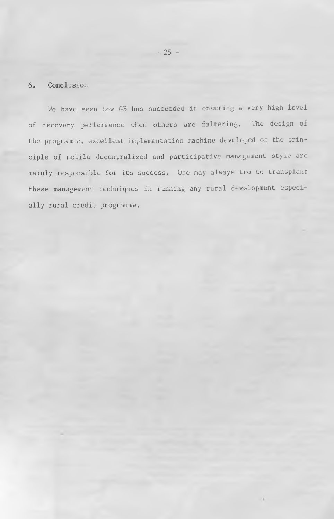## 6. Conclusion

We have seen how GB has succeeded in ensuring a very high level of recovery performance when others are faltering. The design of the programme, excellent implementation machine developed on the principle of mobile decentralized and participative management style arc mainly responsible for its success. One may always tro to transplant these management techniques in running any rural development especially rural credit programme.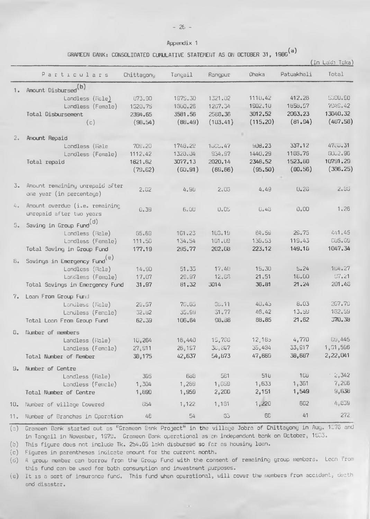#### Appendix 1

GRAMEEN BANK: CONSOLIDATED CUMULATIVE STATEMENT AS ON OCTOBER 31, 1986<sup>(a)</sup>

|                |                                                 |                |          |           |          |            | (In Lakh Taka)        |
|----------------|-------------------------------------------------|----------------|----------|-----------|----------|------------|-----------------------|
|                | Particulars                                     | Chittagony     | Tangail  | Rangpur   | Dhaka    | Patuakhali | Total                 |
| 1.             | Amount Disbursed <sup>(b)</sup>                 |                |          |           |          |            |                       |
|                | Landless (Male)                                 | 073.90         | 1975.30  | 1321.02   | 1110,42  | 412.26     | 9390.90               |
|                | Landless (Female)                               | 1520.75        | 1600.26  | 1267.34   | 1902.10  | 1658.57    | 794S.42               |
|                | Total Disbursement                              | 2394,65        | 3581.56  | 2588.36   | 3012.52  | 2063.23    | 13640.32              |
|                | (c)                                             | (98.54)        | (B6.49)  | (103, 41) | (115.20) | (81.94)    | (487.58)              |
|                |                                                 |                |          |           |          |            |                       |
| 2 <sub>o</sub> | Amount Repaid                                   |                |          |           |          |            |                       |
|                | Landless (Male                                  | 709.20         | 1748.29  | 1505.47   | 908.23   | 337.12     | 47.0.31               |
|                | Landless (Female)                               | 1112.42        | 1328.04  | 954.97    | 1440.29  | 1186.76    | <b>SUG2.96</b>        |
|                | Total repaid                                    | 1821,62        | 3077.13  | 2020.14   | 2348.52  | 1523.88    | 10791.29              |
|                |                                                 | (79.62)        | (60, 91) | (69, 66)  | (95, 50) | (80.56)    | (386.25)              |
|                |                                                 |                |          |           |          |            |                       |
| 3.             | Amount remaining unrepaid after                 | 2.02           | 4.90     | 2.03      | 4.49     | 0.23       | 2.93                  |
|                | one year (in percentage)                        |                |          |           |          |            |                       |
| 4.             | Amount overdue (i.e. remaining                  |                |          |           |          |            |                       |
|                | unrepaid after two years                        | <b>0.39</b>    | 6.00     | 0.05      | 0.48     | 0.00       | 1.26                  |
|                |                                                 |                |          |           |          |            |                       |
| 5.             | Saving in Group Fund <sup>(d)</sup>             |                |          |           |          |            |                       |
|                | Landless (Male)                                 | 65.69          | 161.23   | 103.19    | 84.59    | 29.75      | 441.45                |
|                | Landless (Female)                               | 111.50         | 134.54   | 101.09    | 138.53   | 119.43     | CU5.09                |
|                | Total Saving in Group Fund                      | 177.19         | 295.77   | 202.08    | 223.12   | 149.18     | 1047.34               |
| 6.             | Savings in Emergency Fund <sup>(e)</sup>        |                |          |           |          |            |                       |
|                | Landless (Male)                                 | 14.90          | 51.35    | 17.40     | 15,30    | 5.24       | 164.27                |
|                | Landless (Female)                               | 17.07          | 29.97    | 12.66     | 21.51    | 18,00      | 97.21                 |
|                | Total Savings in Emergency Fund                 | 31.97          | 81.32    | 3014      | 36.81    | 21.24      | 201.48                |
|                |                                                 |                |          |           |          |            |                       |
| 7.             | Loan From Group Fund<br>Landless (Male)         |                | 70.65    | 35.11     | 40.45    | 8.03       | 207.79                |
|                |                                                 | 29.57          | 35.99    | 31.77     | 46.42    | 13.59      | 162.59                |
|                | Landless (Female)<br>Total Loan From Group Fund | 32.82<br>62.39 | 106.64   | 98.38     | 88.85    | 21.62      | 370.38                |
|                |                                                 |                |          |           |          |            |                       |
| 8.             | Number of members                               |                |          |           |          |            |                       |
|                | Landless (Able)                                 | 10,264         | 16,440   | 15,786    | 12.185   | 4,770      | GU, 445               |
|                | Landless (Female)                               | 27,911         | 26,157   | 30,807    | 35,484   | 33,917     | 1,51,596              |
|                | Total Number of Member                          | 38,175         | 42,637   | 54,873    | 47,669   | 38,687     | 2,22,041              |
|                | 9. Number of Centre                             |                |          |           |          |            |                       |
|                | Landless (Male)                                 | 395            | 688      | 581       | 516      | 106        | $\frac{2}{5}$ $2,342$ |
|                | Landless (Female)                               | 1,304          | 1,289    | 1,659     | 1,633    | 1,361      | 7,296                 |
|                | Total Number of Centre                          | 1,699          | 1,959    | 2,280     | 2,151    | 1,549      | 9,638                 |
|                |                                                 |                |          |           |          |            |                       |
| $10-$          | Number of village Covered                       | 654            | 1,122    | 1,161     | 1,220    | 682        | 4,859                 |
| 11.            | Number of Branches in Operation                 | 48             | 54       | 53        | 66       | 41         | 272                   |

(a) Grameen Bank started out as "Grameen Bank Project" in the village Jobra of Chittagong in Aug. 1876 and in Tangail in November, 1979. Grarneen Bonk operational as an independent bank on October, 1963.

(b) This figure does not include Tk. 254.05 lakh disbursed so far as housing loon\*

(c) Figures in parentheses indicate amount for the current month.

(d) A group member can borrow from the Group Fund with the consent of remaining group members. Loan from this fund can be used for both consumption and investment purposes.

(e) It is a sort of insurance fund. This fund when operational, will cover the members from accident, death and disastar.

 $\lambda$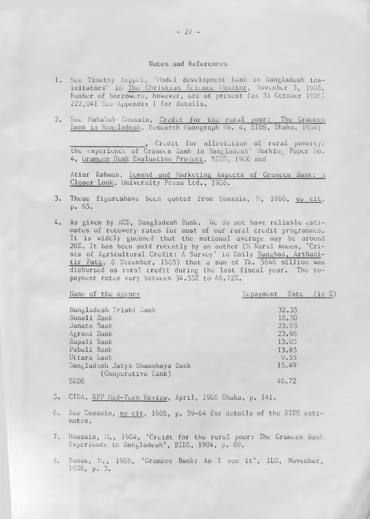#### Notes and References

- 1. See Timethy Acppel, ''Model development bank in Bangladesh insimitators" in The Christian Science Lonitor, November 3, 1986. Number of borrowers, however, arc at present (as 31 October 1986) 222,041 See Appendix 1 for details.
- 2. See Mahabub Kossain, Credit for the rural poor: The Grameen Bank in Bangladesh, Research Monograph Mo. 4, BIDS, Dhaka, 1984;

Credit for alleviation of rural poverty: the experience of Grameen Bank in Bangladesh' Working Paper No. 4, Grameen Bank Evaluation Project, BIDS, 1986 and

Atiur Rahman, Demand and Marketing Aspects of Grameen Bank: A Closer Look, University Press Ltd., 1986.

- 3. These figureshave been quoted from Hossain, M, 1986, op cit, p. 65.
- 4. As given by ACD, Bangladesh Bank. We do not have reliable estimates of recovery rates for most of our rural credit programmes. It is widely guessed that the national average may be around 26%. It has been said recently by an author (M Nurul Ameen, 'Crisis of Agricultural Credit: A Survey' in Daily Sangbad, Arthanitir Fata, S December, 1966) that a sum of Tk. 5646 million was disbursed as rural credit during the last fiscal year. The repayment rates vary between 34.55% to 46.72%.

| Name of the agency                                    | Repayment Rate |       | (in %) |
|-------------------------------------------------------|----------------|-------|--------|
| Bangladesh Krishi Bank                                |                | 32.35 |        |
| Sonali Bank                                           |                | 18.50 |        |
| Janata Bank                                           |                | 23.63 |        |
| Agrani Bank                                           |                | 23.96 |        |
| Rupali Bank                                           |                | 13.05 |        |
| Pubali Bank                                           |                | 13.85 |        |
| Uttara bank                                           |                | 9.55  |        |
| Bangladesh Jatyo Shamobaya Bank<br>(Cooperative Bank) |                | 15.49 |        |
| ERDB                                                  |                | 46.72 |        |

- 5. CIDA, RPP Mid-Term Review, April, 1966 Dhaka, p. 141.
- 6. See Kossain, op cit, 1986, p. 59-64 for details of the BIDS estimates.
- 7. Hossain, M,, 1964, 'Creidt for the rural poor: The Grameen Bank Experience in Bangladesh', BIDS, 1984, p. 69.
- 3. Yunus, M., 1986, 'Grameen Bank: As I see it', ILO, November, 1986, p. 3. •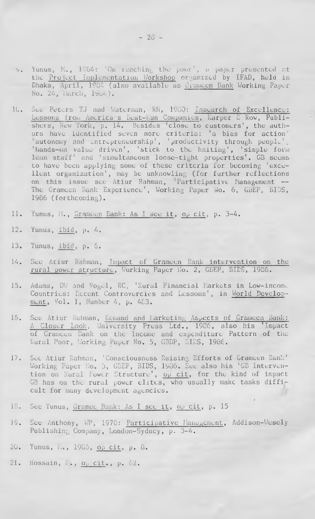- 5. Yunus, M., 1984: 'On reaching the poor', a paper presented at the Project Implementation Workshop organized by IFAD, held in Dhaka, April, 1984 (also available as Gramcen Bank Working Paper No. 24, iiareh, 1904).
- 1C. See Peters TJ and Waterman, RH, 1980; Insearch of Excellence: Lessons Iron. America's Dest-kun Companies, Harper £ Row, Publishers, New York, p. 14. Besides 'close to customers', the authors have identified seven more criteria; 'a bias for action' 'autonomy and entrepreneurship', 'productivity through people', 'hands-on value drivon', 'stick to the kniting', 'simple form' lean staff' and 'simultaneous loose-tight properties'. GB seems to have been applying some of these criteria for becoming 'excellent organization', may be unknowling (for further reflections on this issue see Atiur Rahman, 'Participative Management — The Grameen Bank Experience', Working Paper No. 6, GBEP, BIDS, 1986 (forthcoming).
- 11. Yunus, M., Grameen Bank; As I see it, op cit, p. 3-4.
- 12. Yunus, ibid, p. 4.
- 13. Yunus, ibid, p. 6.
- 14. See Atiur Rahman, Impact of Grameen Bank intervention on the rural power structure, Working Paper No. 2, GBEP, BIDS, 1986.
- 15. Adams, DW and Vogel, RC, 'Rural Financial Markets in Low-income Countries; Recent Controvercies and Lessons', in World Development, Vol. 1, Mumber 4, p. 483.
- 16. See Atiur Rahman, Demand and Marketing Aspects of Grameen Bank: A Closer Look, University Press Ltd., 1986, also his 'Impact of Grameen Bank on the Income and expenditure Pattern of the Kural Poor, Working Paper No. 5, GBDP, EIES, 1986.
- 17. See Atiur Rahman, 'Consciousness Raising Efforts of Grameen Bank' Working Paper No. 3, GBEP, BIDS, 1906. See also his 'GB Intervention on Rural Fower Structure', op cit, for the kind of impact GB has on the rural power elites, who usually make tasks difficult for many development agencies.

*9*

- 18. See Yunus, Gramec Bank; As I see it, op cit, p. 15
- 19. See Anthony, WP, 1978; Participative Managemcnt, Addison-Wesely Publishing Company, London-Sydney, p. 3-4.
- 20. Yunus, I.., 1986, op cit, p. 8.
- 21. Hossain, I., op cit., p. 62.